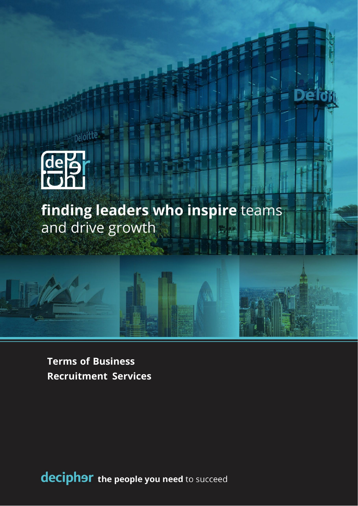

peloitte.

finding leaders who inspire teams and drive growth

e

**Terms of Business Recruitment Services**

deciphor the people you need to succeed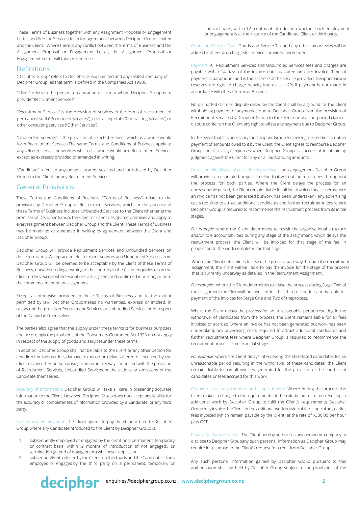These Terms of Business together with any Assignment Proposal or Engagement Letter and Fee for Services form for agreement between Decipher Group Limited and the Client. Where there is any conflict between theTerms of Business and the Assignment Proposal or Engagement Letter, the Assignment Proposal or Engagement Letter will take precedence.

### **Definitions**

"Decipher Group" refers to Decipher Group Limited and any related company of Decipher Group (as that term is defined in the Companies Act 1993).

"Client" refers to the person, organisation or firm to whom Decipher Group is to provide "Recruitment Services".

"Recruitment Services" is the provision of services in the form of recruitment of permanent staff ("Permanent Services"), contracting staff ("Contracting Services") or other consulting services ("Other Services").

"Unbundled Services" is the provision of selected services which as a whole would form Recruitment Services.The same Terms and Conditions of Business apply to any selected service or services which as a whole wouldform Recruitment Services except as expressly provided or amended in writing.

"Candidate" refers to any person located, selected and introduced by Decipher Group to the Client for any Recruitment Services.

### General Provisions

These Terms and Conditions of Business ("Terms of Business") relate to the provision by Decipher Group of Recruitment Services, which for the purpose of these Terms of Business includes Unbundled Services to the Client whether at the premises of Decipher Group, the Client or Client designated premises and apply to everyassignment between Decipher Group and the Client. These Terms of Business may be modified or amended in writing by agreement between the Client and Decipher Group.

Decipher Group will provide Recruitment Services and Unbundled Services on these terms only. Acceptanceof Recruitment Services and Unbundled Services from Decipher Group will be deemed to be acceptable by the Client of these Terms of Business, notwithstanding anything to the contrary in the Client enquiries or on the Client orders except where variations are agreed (and confirmed in writing) prior to the commencement of an assignment.

Except as otherwise provided in these Terms of Business and to the extent permitted by law, Decipher Groupmakes no warranties, express or implied, in respect of the provision Recruitment Services or Unbundled Services or in respect of the Candidate themselves.

The parties also agree that the supply under these terms is for business purposes and accordingly the provisions of the Consumers Guarantee Act 1993 do not apply in respect of the supply of goods and servicesunder these terms.

In addition, Decipher Group shall not be liable to the Client or any other person for any direct or indirect loss,damage, expense or delay suffered or incurred by the Client or any other person arising from or in any way connected with the provision of Recruitment Services, Unbundled Services or the actions or omissions of the Candidate themselves.

Accuracy of Information: Decipher Group will take all care in presenting accurate information to the Client. However, Decipher Group does not accept any liability for the accuracy or completeness of information provided by a Candidate, or any third party.

Subsequent Employment: The Client agrees to pay the standard fee to Decipher Group where any Candidateintroduced to the Client by Decipher Group is:

- 1. subsequently employed or engaged by the client on a permanent, temporary or contract basis, within 12 months of introduction (if not engaged), or termination (at end of engagement) whichever applies,or
- 2. subsequently introduced by the Client to a third party and the Candidate is then employed or engaged by the third party on a permanent, temporary or

contract basis, within 12 months of introduction whether such employment or engagement is at the instance of the Candidate, Client or third party.

Goods and Service Tax: Goods and Service Tax and any other tax or levies will be added to all fees and chargesfor services provided hereunder.

Payment: All Recruitment Services and Unbundled Services fees and charges are payable within 14 days of the invoice date as stated on each invoice. Time of payment is paramount and is the essence of the service provided. Decipher Group reserves the right to charge penalty interest at 12% if payment is not made in accordance with these Terms of Business.

No purported claim or dispute raised by the Client shall be a ground for the Client withholding payment of anymonies due to Decipher Group from the provision of Recruitment Services by Decipher Group to the Client nor shall purported claim or dispute confer on the Client any right to offset any payment due to Decipher Group.

In the event that it is necessary for Decipher Group to seek legal remedies to obtain payment of amounts owed to it by the Client, the Client agrees to reimburse Decipher Group for all its legal expenses when Decipher Group is successful in obtaining judgment against the Client for any or all outstanding amounts.

Unreasonable delay and cessation of process: Upon engagement Decipher Group will provide an estimated project timeline that will outline milestones throughout the process for both parties. Where the Client delays the process for an unreasonable period, the Client remains liable for all fees invoiced or accrued (where an invoice has not been generated butwork has been undertaken), any advertising costs required to attract additional candidates and further recruitment fees where Decipher Group is required to recommence the recruitment process from its initial stages.

*For example:* where the Client determines to revisit the organisational structure and/or role accountabilities during any stage of the assignment, which delays the recruitment process, the Client will be invoiced for that stage of the fee, in proportion to the work completed for that stage.

Where the Client determines to cease the process part way through the recruitment assignment, the client will be liable to pay the invoice for the stage of the process that is currently underway as detailed in the Recruitment Assignment.

*For example:* where the Client determines to cease the process during Stage Two of the assignment the Clientwill be invoiced for that third of the fee and is liable for payment of the invoices for Stage One and Two of theprocess.

Where the Client delays the process for an unreasonable period resulting in the withdrawal of candidates from the process, the Client remains liable for all fees invoiced or accrued (where an invoice has not been generated but work has been undertaken), any advertising costs required to attract additional candidates and further recruitment fees where Decipher Group is required to recommence the recruitment process from its initial stages.

*For example:* where the Client delays interviewing the shortlisted candidates for an unreasonable period resulting in the withdrawal of these candidates; the Client remains liable to pay all invoices generated for the provision of the shortlist of candidates or fees accrued for this work.

Change of role requirements and scope of work: Where during the process the Client makes a change to therequirements of the role being recruited resulting in additional work by Decipher Group to fulfil the Client's requirements, Decipher Groupmay invoice theClientforthe additionalworkoutsideofthe scope of any earlier fees invoiced (which remain payable by the Client) at the rate of \$300.00 per hour plus GST.

Privacy Act Authorisation: The Client hereby authorises any person or company to disclose to Decipher Groupany such personal information as Decipher Group may require in response to the Client's request for credit from Decipher Group.

Any such personal information gained by Decipher Group pursuant to this authorisation shall be held by Decipher Group subject to the provisions of the

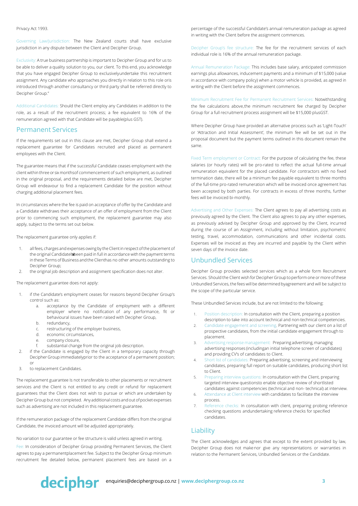#### Privacy Act 1993.

Governing Law/Jurisdiction: The New Zealand courts shall have exclusive jurisdiction in any dispute between the Client and Decipher Group.

Exclusivity: A true business partnership is important to Decipher Group and for us to be able to deliver a quality solution to you, our client. To this end, you acknowledge that you have engaged Decipher Group to exclusivelyundertake this recruitment assignment. Any candidate who approaches you directly in relation to this role oris introduced through another consultancy or third party shall be referred directly to Decipher Group."

Additional Candidates: Should the Client employ any Candidates in addition to the role, as a result of the recruitment process; a fee equivalent to 16% of the remuneration agreed with that Candidate will be payable(plus GST).

#### Permanent Services

If the requirements set out in this clause are met, Decipher Group shall extend a replacement guarantee for Candidates recruited and placed as permanent employees with the Client.

The guarantee means that if the successful Candidate ceases employment with the client within three or six monthsof commencement of such employment, as outlined in the original proposal, and the requirements detailed below are met, Decipher Group will endeavour to find a replacement Candidate for the position without charging additional placement fees.

In circumstances where the fee is paid on acceptance of offer by the Candidate and a Candidate withdraws their acceptance of an offer of employment from the Client prior to commencing such employment, the replacement guarantee may also apply, subject to the terms set out below.

The replacement guarantee only applies if:

- 1. all fees, charges and expenses owing by the Clientin respect ofthe placement of the original Candidatehbeen paid in full in accordance with the payment terms in these Terms of Business and the Clienthas no other amounts outstanding to Decipher Group;
- 2. the original job description and assignment specification does not alter.

The replacement guarantee does not apply:

- 1. if the Candidate's employment ceases for reasons beyond Decipher Group's control such as:
	- a. acceptance by the Candidate of employment with a different employer where no notification of any performance, fit or behavioural issues have been raised with Decipher Group,
	- b. redundancy,
	- c. restructuring of the employer business,
	- d. economic circumstances,
	- e. company closure,
	- substantial change from the original job description.
- 2. if the Candidate is engaged by the Client in a temporary capacity through Decipher Group immediatelyprior to the acceptance of a permanent position; or
- 3. to replacement Candidates.

The replacement guarantee Is not transferable to other placements or recruitment services and the Client is not entitled to any credit or refund for replacement guarantees that the Client does not wish to pursue or which are undertaken by Decipher Group but not completed. Any additional costs and out of pocket expenses such as advertising are not included in this replacement guarantee.

If the remuneration package of the replacement Candidate differs from the original Candidate, the invoiced amount will be adjusted appropriately.

No variation to our guarantee or fee structure is valid unless agreed in writing.

Fee: In consideration of Decipher Group providing Permanent Services, the Client agrees to pay a permanentplacement fee. Subject to the Decipher Group minimum recruitment fee detailed below, permanent placement fees are based on a percentage of the successful Candidate's annual remuneration package as agreed in writing with the Client before the assignment commences.

Decipher Group's fee structure: The fee for the recruitment services of each individual role is 16% of the annual remuneration package.

Annual Remuneration Package: This includes base salary, anticipated commission earnings plus allowances, inducement payments and a minimum of \$15,000 (value in accordance with company policy) when a motor vehicle is provided, as agreed in writing with the Client before the assignment commences.

Minimum Recruitment Fee for Permanent Recruitment Services: Notwithstanding the fee calculations above,the minimum recruitment fee charged by Decipher Group for a full recruitment process assignment will be \$15,000 plusGST.

Where Decipher Group have provided an alternative process such as 'Light-Touch' or 'Attraction and Initial Assessment', the minimum fee will be set out in the proposal document but the payment terms outlined in this document remain the same.

Fixed Term employment or Contract: For the purpose of calculating the fee, these salaries (or hourly rates) will be pro-rated to reflect the actual full-time annual remuneration equivalent for the placed candidate. For contractors with no fixed termination date, there will be a minimum fee payable equivalent to three months of the full-time pro-rated remuneration which will be invoiced once agreement has been accepted by both parties. For contracts in excess of three months, further fees will be invoiced bi-monthly.

Advertising and Other Expenses: The Client agrees to pay all advertising costs as previously agreed by the Client. The Client also agrees to pay any other expenses, as previously advised by Decipher Group and approved by the Client, incurred during the course of an Assignment, including without limitation, psychometric testing, travel, accommodation, communications and other incidental costs. Expenses will be invoiced as they are incurred and payable by the Client within seven days of the invoice date.

## Unbundled Services

Decipher Group provides selected services which as a whole form Recruitment Services. Should the Client wish for Decipher Group to perform one or more ofthese Unbundled Services, the fees will be determined byagreement and will be subject to the scope of the particular service.

These Unbundled Services include, but are not limited to the following:

- 1. Position description: In consultation with the Client, preparing a position description to take into account technical and non-technical competencies.
- 2. Candidate engagement and screening. Partnering with our client on a list of prospective candidates, from the initial candidate engagement through to placement.
- 3. Advertising response management: Preparing advertising, managing advertising responses (includingan initial telephone screen of candidates) and providing CV's of candidates to Client.
- 4. Short list of candidates: Preparing advertising, screening and interviewing candidates, preparing full report on suitable candidates, producing short list to Client.
- 5. Preparing interview questions: In consultation with the Client, preparing targeted interview questionsto enable objective review of shortlisted candidates against competencies (technical and non- technical) at interview.
- 6. Attendance at Client interview with candidates to facilitate the interview process.
- 7. Reference checks: In consultation with client, preparing probing reference checking questions andundertaking reference checks for specified candidates.

# Liability

The Client acknowledges and agrees that except to the extent provided by law, Decipher Group does not make nor give any representations or warranties in relation to the Permanent Services, Unbundled Services or the Candidate.